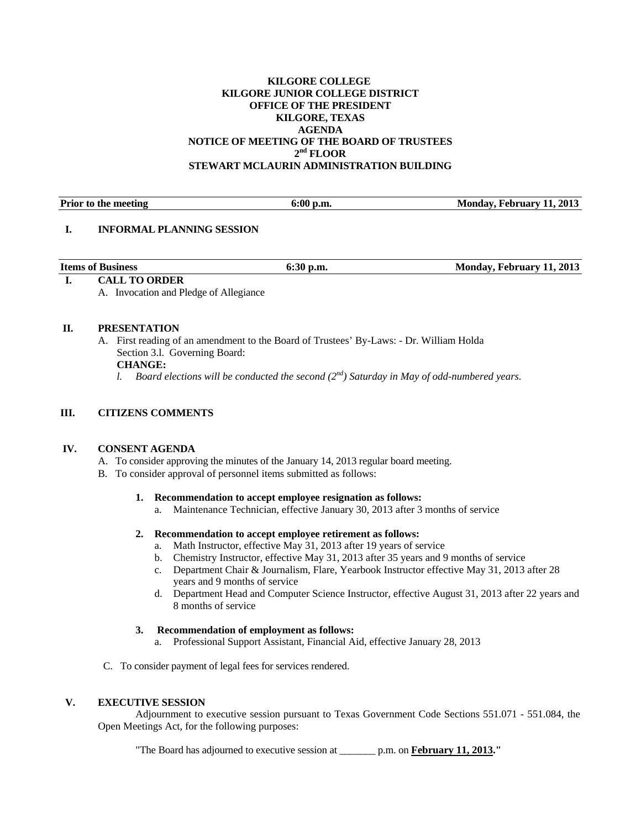#### **KILGORE COLLEGE KILGORE JUNIOR COLLEGE DISTRICT OFFICE OF THE PRESIDENT KILGORE, TEXAS AGENDA NOTICE OF MEETING OF THE BOARD OF TRUSTEES 2nd FLOOR STEWART MCLAURIN ADMINISTRATION BUILDING**

| <b>Prior</b> to<br>) the meeting | Λ0<br>v.vv<br>v.m. | 2013<br>Mondov<br>coruary |
|----------------------------------|--------------------|---------------------------|
|                                  |                    |                           |

#### **I. INFORMAL PLANNING SESSION**

| <b>Items of Business</b> | 6:30<br>D.m. | Monday, February 11, 2013 |
|--------------------------|--------------|---------------------------|
|                          |              |                           |

## **I. CALL TO ORDER**

A. Invocation and Pledge of Allegiance

#### **II. PRESENTATION**

A. First reading of an amendment to the Board of Trustees' By-Laws: - Dr. William Holda Section 3.l. Governing Board:

# **CHANGE:**

*l.* Board elections will be conducted the second  $(2^{nd})$  Saturday in May of odd-numbered years.

## **III. CITIZENS COMMENTS**

## **IV. CONSENT AGENDA**

- A. To consider approving the minutes of the January 14, 2013 regular board meeting.
- B. To consider approval of personnel items submitted as follows:

## **1. Recommendation to accept employee resignation as follows:**

a. Maintenance Technician, effective January 30, 2013 after 3 months of service

## **2. Recommendation to accept employee retirement as follows:**

- a. Math Instructor, effective May 31, 2013 after 19 years of service
- b. Chemistry Instructor, effective May 31, 2013 after 35 years and 9 months of service
- c. Department Chair & Journalism, Flare, Yearbook Instructor effective May 31, 2013 after 28 years and 9 months of service
- d. Department Head and Computer Science Instructor, effective August 31, 2013 after 22 years and 8 months of service

## **3. Recommendation of employment as follows:**

- a. Professional Support Assistant, Financial Aid, effective January 28, 2013
- C. To consider payment of legal fees for services rendered.

## **V. EXECUTIVE SESSION**

 Adjournment to executive session pursuant to Texas Government Code Sections 551.071 - 551.084, the Open Meetings Act, for the following purposes:

"The Board has adjourned to executive session at \_\_\_\_\_\_\_ p.m. on **February 11, 2013."**